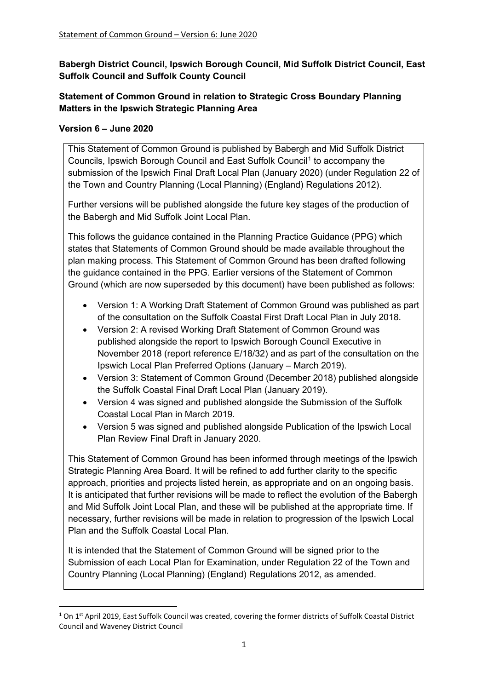**Babergh District Council, Ipswich Borough Council, Mid Suffolk District Council, East Suffolk Council and Suffolk County Council**

# **Statement of Common Ground in relation to Strategic Cross Boundary Planning Matters in the Ipswich Strategic Planning Area**

# **Version 6 – June 2020**

This Statement of Common Ground is published by Babergh and Mid Suffolk District Councils, Ipswich Borough Council and East Suffolk Council[1](#page-0-0) to accompany the submission of the Ipswich Final Draft Local Plan (January 2020) (under Regulation 22 of the Town and Country Planning (Local Planning) (England) Regulations 2012).

Further versions will be published alongside the future key stages of the production of the Babergh and Mid Suffolk Joint Local Plan.

This follows the guidance contained in the Planning Practice Guidance (PPG) which states that Statements of Common Ground should be made available throughout the plan making process. This Statement of Common Ground has been drafted following the guidance contained in the PPG. Earlier versions of the Statement of Common Ground (which are now superseded by this document) have been published as follows:

- Version 1: A Working Draft Statement of Common Ground was published as part of the consultation on the Suffolk Coastal First Draft Local Plan in July 2018.
- Version 2: A revised Working Draft Statement of Common Ground was published alongside the report to Ipswich Borough Council Executive in November 2018 (report reference E/18/32) and as part of the consultation on the Ipswich Local Plan Preferred Options (January – March 2019).
- Version 3: Statement of Common Ground (December 2018) published alongside the Suffolk Coastal Final Draft Local Plan (January 2019).
- Version 4 was signed and published alongside the Submission of the Suffolk Coastal Local Plan in March 2019.
- Version 5 was signed and published alongside Publication of the Ipswich Local Plan Review Final Draft in January 2020.

This Statement of Common Ground has been informed through meetings of the Ipswich Strategic Planning Area Board. It will be refined to add further clarity to the specific approach, priorities and projects listed herein, as appropriate and on an ongoing basis. It is anticipated that further revisions will be made to reflect the evolution of the Babergh and Mid Suffolk Joint Local Plan, and these will be published at the appropriate time. If necessary, further revisions will be made in relation to progression of the Ipswich Local Plan and the Suffolk Coastal Local Plan.

It is intended that the Statement of Common Ground will be signed prior to the Submission of each Local Plan for Examination, under Regulation 22 of the Town and Country Planning (Local Planning) (England) Regulations 2012, as amended.

<span id="page-0-0"></span><sup>&</sup>lt;sup>1</sup> On 1<sup>st</sup> April 2019, East Suffolk Council was created, covering the former districts of Suffolk Coastal District Council and Waveney District Council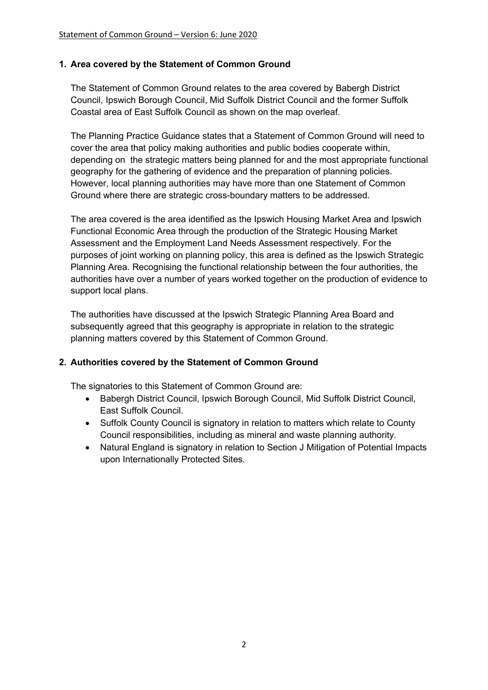### **1. Area covered by the Statement of Common Ground**

The Statement of Common Ground relates to the area covered by Babergh District Council, Ipswich Borough Council, Mid Suffolk District Council and the former Suffolk Coastal area of East Suffolk Council as shown on the map overleaf.

The Planning Practice Guidance states that a Statement of Common Ground will need to cover the area that policy making authorities and public bodies cooperate within, depending on the strategic matters being planned for and the most appropriate functional geography for the gathering of evidence and the preparation of planning policies. However, local planning authorities may have more than one Statement of Common Ground where there are strategic cross-boundary matters to be addressed.

The area covered is the area identified as the Ipswich Housing Market Area and Ipswich Functional Economic Area through the production of the Strategic Housing Market Assessment and the Employment Land Needs Assessment respectively. For the purposes of joint working on planning policy, this area is defined as the Ipswich Strategic Planning Area. Recognising the functional relationship between the four authorities, the authorities have over a number of years worked together on the production of evidence to support local plans.

The authorities have discussed at the Ipswich Strategic Planning Area Board and subsequently agreed that this geography is appropriate in relation to the strategic planning matters covered by this Statement of Common Ground.

# **2. Authorities covered by the Statement of Common Ground**

The signatories to this Statement of Common Ground are:

- Babergh District Council, Ipswich Borough Council, Mid Suffolk District Council, East Suffolk Council.
- Suffolk County Council is signatory in relation to matters which relate to County Council responsibilities, including as mineral and waste planning authority.
- Natural England is signatory in relation to Section J Mitigation of Potential Impacts upon Internationally Protected Sites.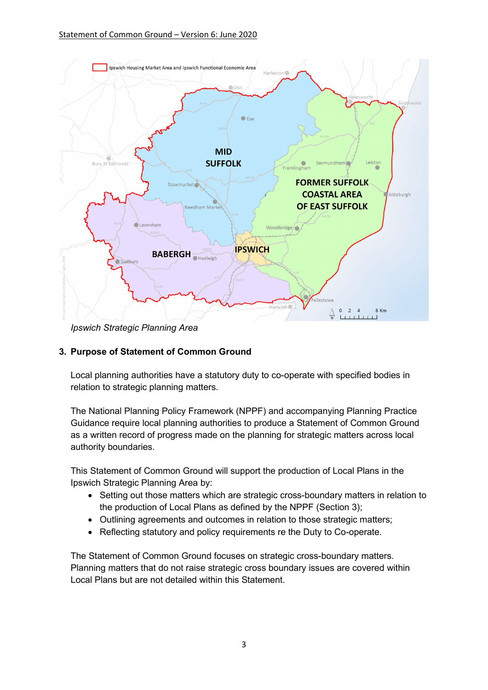

*Ipswich Strategic Planning Area*

# **3. Purpose of Statement of Common Ground**

Local planning authorities have a statutory duty to co-operate with specified bodies in relation to strategic planning matters.

The National Planning Policy Framework (NPPF) and accompanying Planning Practice Guidance require local planning authorities to produce a Statement of Common Ground as a written record of progress made on the planning for strategic matters across local authority boundaries.

This Statement of Common Ground will support the production of Local Plans in the Ipswich Strategic Planning Area by:

- Setting out those matters which are strategic cross-boundary matters in relation to the production of Local Plans as defined by the NPPF (Section 3);
- Outlining agreements and outcomes in relation to those strategic matters;
- Reflecting statutory and policy requirements re the Duty to Co-operate.

The Statement of Common Ground focuses on strategic cross-boundary matters. Planning matters that do not raise strategic cross boundary issues are covered within Local Plans but are not detailed within this Statement.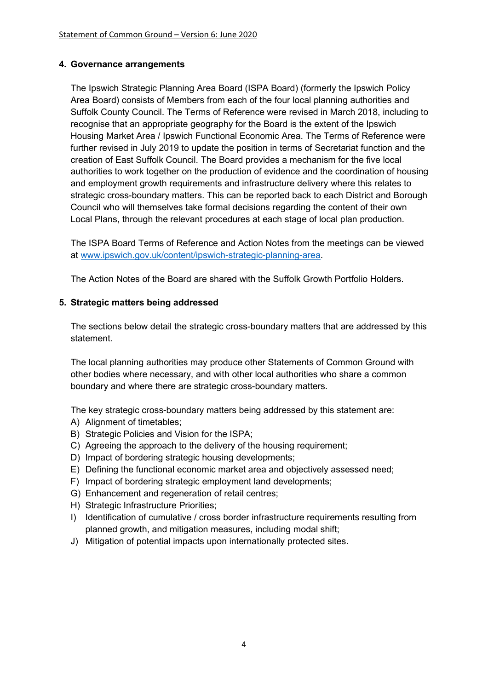# **4. Governance arrangements**

The Ipswich Strategic Planning Area Board (ISPA Board) (formerly the Ipswich Policy Area Board) consists of Members from each of the four local planning authorities and Suffolk County Council. The Terms of Reference were revised in March 2018, including to recognise that an appropriate geography for the Board is the extent of the Ipswich Housing Market Area / Ipswich Functional Economic Area. The Terms of Reference were further revised in July 2019 to update the position in terms of Secretariat function and the creation of East Suffolk Council. The Board provides a mechanism for the five local authorities to work together on the production of evidence and the coordination of housing and employment growth requirements and infrastructure delivery where this relates to strategic cross-boundary matters. This can be reported back to each District and Borough Council who will themselves take formal decisions regarding the content of their own Local Plans, through the relevant procedures at each stage of local plan production.

The ISPA Board Terms of Reference and Action Notes from the meetings can be viewed at [www.ipswich.gov.uk/content/ipswich-strategic-planning-area.](http://www.ipswich.gov.uk/content/ipswich-strategic-planning-area)

The Action Notes of the Board are shared with the Suffolk Growth Portfolio Holders.

### **5. Strategic matters being addressed**

The sections below detail the strategic cross-boundary matters that are addressed by this statement.

The local planning authorities may produce other Statements of Common Ground with other bodies where necessary, and with other local authorities who share a common boundary and where there are strategic cross-boundary matters.

The key strategic cross-boundary matters being addressed by this statement are:

- A) Alignment of timetables;
- B) Strategic Policies and Vision for the ISPA;
- C) Agreeing the approach to the delivery of the housing requirement;
- D) Impact of bordering strategic housing developments;
- E) Defining the functional economic market area and objectively assessed need;
- F) Impact of bordering strategic employment land developments;
- G) Enhancement and regeneration of retail centres;
- H) Strategic Infrastructure Priorities;
- I) Identification of cumulative / cross border infrastructure requirements resulting from planned growth, and mitigation measures, including modal shift;
- J) Mitigation of potential impacts upon internationally protected sites.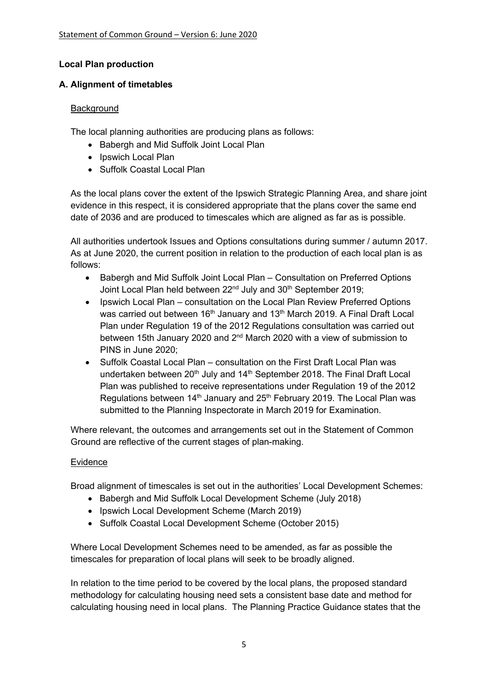# **Local Plan production**

# **A. Alignment of timetables**

### Background

The local planning authorities are producing plans as follows:

- Babergh and Mid Suffolk Joint Local Plan
- Ipswich Local Plan
- Suffolk Coastal Local Plan

As the local plans cover the extent of the Ipswich Strategic Planning Area, and share joint evidence in this respect, it is considered appropriate that the plans cover the same end date of 2036 and are produced to timescales which are aligned as far as is possible.

All authorities undertook Issues and Options consultations during summer / autumn 2017. As at June 2020, the current position in relation to the production of each local plan is as follows:

- Babergh and Mid Suffolk Joint Local Plan Consultation on Preferred Options Joint Local Plan held between 22<sup>nd</sup> July and 30<sup>th</sup> September 2019;
- Ipswich Local Plan consultation on the Local Plan Review Preferred Options was carried out between 16<sup>th</sup> January and 13<sup>th</sup> March 2019. A Final Draft Local Plan under Regulation 19 of the 2012 Regulations consultation was carried out between 15th January 2020 and 2nd March 2020 with a view of submission to PINS in June 2020;
- Suffolk Coastal Local Plan consultation on the First Draft Local Plan was undertaken between  $20<sup>th</sup>$  July and  $14<sup>th</sup>$  September 2018. The Final Draft Local Plan was published to receive representations under Regulation 19 of the 2012 Regulations between  $14<sup>th</sup>$  January and  $25<sup>th</sup>$  February 2019. The Local Plan was submitted to the Planning Inspectorate in March 2019 for Examination.

Where relevant, the outcomes and arrangements set out in the Statement of Common Ground are reflective of the current stages of plan-making.

# Evidence

Broad alignment of timescales is set out in the authorities' Local Development Schemes:

- Babergh and Mid Suffolk Local Development Scheme (July 2018)
- Ipswich Local Development Scheme (March 2019)
- Suffolk Coastal Local Development Scheme (October 2015)

Where Local Development Schemes need to be amended, as far as possible the timescales for preparation of local plans will seek to be broadly aligned.

In relation to the time period to be covered by the local plans, the proposed standard methodology for calculating housing need sets a consistent base date and method for calculating housing need in local plans. The Planning Practice Guidance states that the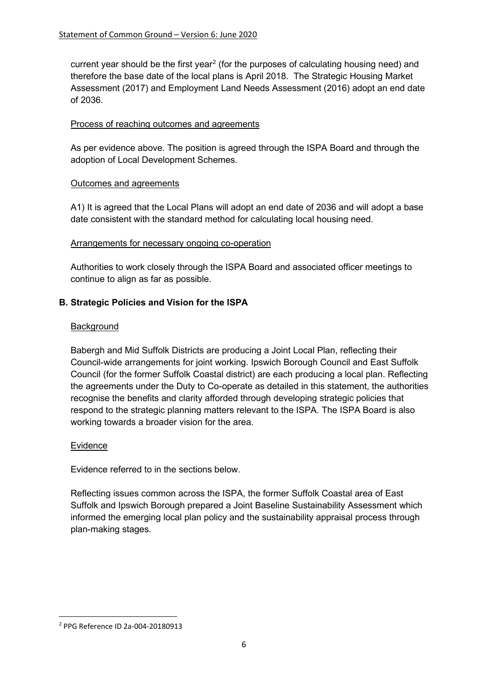current year should be the first year<sup>[2](#page-5-0)</sup> (for the purposes of calculating housing need) and therefore the base date of the local plans is April 2018. The Strategic Housing Market Assessment (2017) and Employment Land Needs Assessment (2016) adopt an end date of 2036.

### Process of reaching outcomes and agreements

As per evidence above. The position is agreed through the ISPA Board and through the adoption of Local Development Schemes.

### Outcomes and agreements

A1) It is agreed that the Local Plans will adopt an end date of 2036 and will adopt a base date consistent with the standard method for calculating local housing need.

### Arrangements for necessary ongoing co-operation

Authorities to work closely through the ISPA Board and associated officer meetings to continue to align as far as possible.

# **B. Strategic Policies and Vision for the ISPA**

### **Background**

Babergh and Mid Suffolk Districts are producing a Joint Local Plan, reflecting their Council-wide arrangements for joint working. Ipswich Borough Council and East Suffolk Council (for the former Suffolk Coastal district) are each producing a local plan. Reflecting the agreements under the Duty to Co-operate as detailed in this statement, the authorities recognise the benefits and clarity afforded through developing strategic policies that respond to the strategic planning matters relevant to the ISPA. The ISPA Board is also working towards a broader vision for the area.

#### Evidence

Evidence referred to in the sections below.

Reflecting issues common across the ISPA, the former Suffolk Coastal area of East Suffolk and Ipswich Borough prepared a Joint Baseline Sustainability Assessment which informed the emerging local plan policy and the sustainability appraisal process through plan-making stages.

<span id="page-5-0"></span><sup>2</sup> PPG Reference ID 2a-004-20180913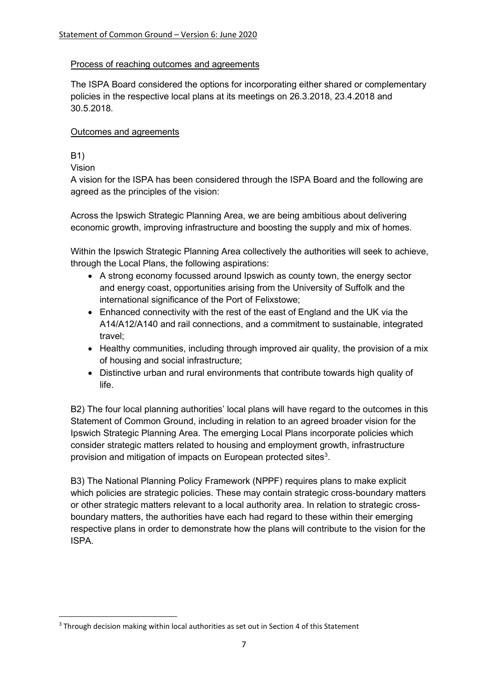### Process of reaching outcomes and agreements

The ISPA Board considered the options for incorporating either shared or complementary policies in the respective local plans at its meetings on 26.3.2018, 23.4.2018 and 30.5.2018.

### Outcomes and agreements

# B1)

Vision

A vision for the ISPA has been considered through the ISPA Board and the following are agreed as the principles of the vision:

Across the Ipswich Strategic Planning Area, we are being ambitious about delivering economic growth, improving infrastructure and boosting the supply and mix of homes.

Within the Ipswich Strategic Planning Area collectively the authorities will seek to achieve, through the Local Plans, the following aspirations:

- A strong economy focussed around Ipswich as county town, the energy sector and energy coast, opportunities arising from the University of Suffolk and the international significance of the Port of Felixstowe;
- Enhanced connectivity with the rest of the east of England and the UK via the A14/A12/A140 and rail connections, and a commitment to sustainable, integrated travel;
- Healthy communities, including through improved air quality, the provision of a mix of housing and social infrastructure;
- Distinctive urban and rural environments that contribute towards high quality of life.

B2) The four local planning authorities' local plans will have regard to the outcomes in this Statement of Common Ground, including in relation to an agreed broader vision for the Ipswich Strategic Planning Area. The emerging Local Plans incorporate policies which consider strategic matters related to housing and employment growth, infrastructure provision and mitigation of impacts on European protected sites $^3$  $^3$ .

B3) The National Planning Policy Framework (NPPF) requires plans to make explicit which policies are strategic policies. These may contain strategic cross-boundary matters or other strategic matters relevant to a local authority area. In relation to strategic crossboundary matters, the authorities have each had regard to these within their emerging respective plans in order to demonstrate how the plans will contribute to the vision for the ISPA.

<span id="page-6-0"></span><sup>&</sup>lt;sup>3</sup> Through decision making within local authorities as set out in Section 4 of this Statement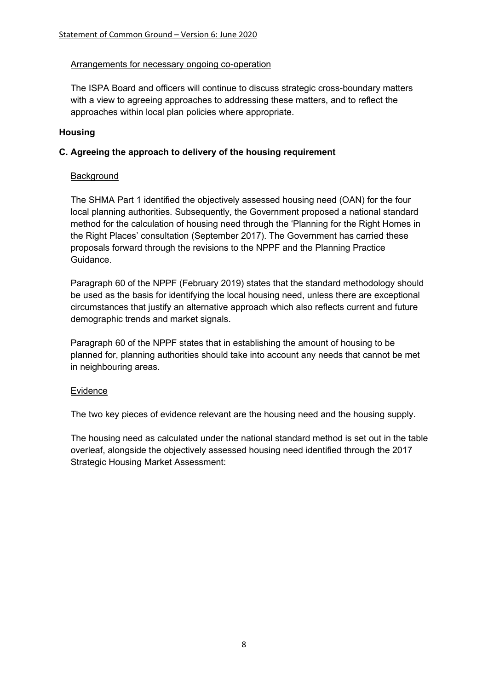#### Arrangements for necessary ongoing co-operation

The ISPA Board and officers will continue to discuss strategic cross-boundary matters with a view to agreeing approaches to addressing these matters, and to reflect the approaches within local plan policies where appropriate.

### **Housing**

### **C. Agreeing the approach to delivery of the housing requirement**

### Background

The SHMA Part 1 identified the objectively assessed housing need (OAN) for the four local planning authorities. Subsequently, the Government proposed a national standard method for the calculation of housing need through the 'Planning for the Right Homes in the Right Places' consultation (September 2017). The Government has carried these proposals forward through the revisions to the NPPF and the Planning Practice Guidance.

Paragraph 60 of the NPPF (February 2019) states that the standard methodology should be used as the basis for identifying the local housing need, unless there are exceptional circumstances that justify an alternative approach which also reflects current and future demographic trends and market signals.

Paragraph 60 of the NPPF states that in establishing the amount of housing to be planned for, planning authorities should take into account any needs that cannot be met in neighbouring areas.

#### **Evidence**

The two key pieces of evidence relevant are the housing need and the housing supply.

The housing need as calculated under the national standard method is set out in the table overleaf, alongside the objectively assessed housing need identified through the 2017 Strategic Housing Market Assessment: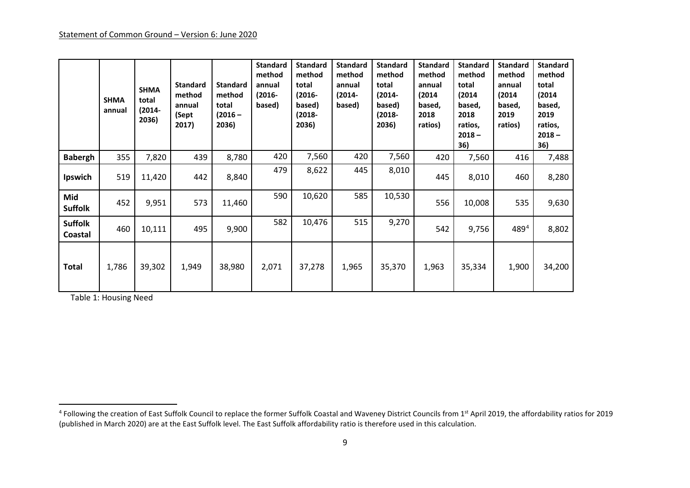<span id="page-8-0"></span>

|                           | <b>SHMA</b><br>annual | <b>SHMA</b><br>total<br>(2014-<br>2036) | <b>Standard</b><br>method<br>annual<br>(Sept<br>2017) | <b>Standard</b><br>method<br>total<br>$(2016 -$<br>2036) | <b>Standard</b><br>method<br>annual<br>$(2016 -$<br>based) | <b>Standard</b><br>method<br>total<br>$(2016 -$<br>based)<br>(2018-<br>2036) | <b>Standard</b><br>method<br>annual<br>(2014-<br>based) | <b>Standard</b><br>method<br>total<br>(2014-<br>based)<br>(2018-<br>2036) | <b>Standard</b><br>method<br>annual<br>(2014)<br>based,<br>2018<br>ratios) | <b>Standard</b><br>method<br>total<br>(2014)<br>based,<br>2018<br>ratios,<br>$2018 -$<br>36) | <b>Standard</b><br>method<br>annual<br>(2014<br>based,<br>2019<br>ratios) | <b>Standard</b><br>method<br>total<br>(2014)<br>based,<br>2019<br>ratios,<br>$2018 -$<br>36) |
|---------------------------|-----------------------|-----------------------------------------|-------------------------------------------------------|----------------------------------------------------------|------------------------------------------------------------|------------------------------------------------------------------------------|---------------------------------------------------------|---------------------------------------------------------------------------|----------------------------------------------------------------------------|----------------------------------------------------------------------------------------------|---------------------------------------------------------------------------|----------------------------------------------------------------------------------------------|
| <b>Babergh</b>            | 355                   | 7,820                                   | 439                                                   | 8,780                                                    | 420                                                        | 7,560                                                                        | 420                                                     | 7,560                                                                     | 420                                                                        | 7,560                                                                                        | 416                                                                       | 7,488                                                                                        |
| Ipswich                   | 519                   | 11,420                                  | 442                                                   | 8,840                                                    | 479                                                        | 8,622                                                                        | 445                                                     | 8,010                                                                     | 445                                                                        | 8,010                                                                                        | 460                                                                       | 8,280                                                                                        |
| Mid<br><b>Suffolk</b>     | 452                   | 9,951                                   | 573                                                   | 11,460                                                   | 590                                                        | 10,620                                                                       | 585                                                     | 10,530                                                                    | 556                                                                        | 10,008                                                                                       | 535                                                                       | 9,630                                                                                        |
| <b>Suffolk</b><br>Coastal | 460                   | 10,111                                  | 495                                                   | 9,900                                                    | 582                                                        | 10,476                                                                       | 515                                                     | 9,270                                                                     | 542                                                                        | 9,756                                                                                        | 4894                                                                      | 8,802                                                                                        |
| <b>Total</b>              | 1,786                 | 39,302                                  | 1,949                                                 | 38,980                                                   | 2,071                                                      | 37,278                                                                       | 1,965                                                   | 35,370                                                                    | 1,963                                                                      | 35,334                                                                                       | 1,900                                                                     | 34,200                                                                                       |

Table 1: Housing Need

<sup>&</sup>lt;sup>4</sup> Following the creation of East Suffolk Council to replace the former Suffolk Coastal and Waveney District Councils from 1st April 2019, the affordability ratios for 2019 (published in March 2020) are at the East Suffolk level. The East Suffolk affordability ratio is therefore used in this calculation.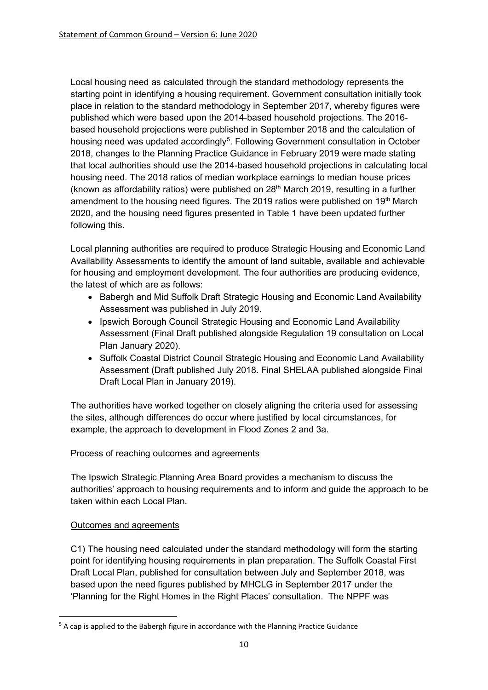Local housing need as calculated through the standard methodology represents the starting point in identifying a housing requirement. Government consultation initially took place in relation to the standard methodology in September 2017, whereby figures were published which were based upon the 2014-based household projections. The 2016 based household projections were published in September 2018 and the calculation of housing need was updated accordingly<sup>[5](#page-9-0)</sup>. Following Government consultation in October 2018, changes to the Planning Practice Guidance in February 2019 were made stating that local authorities should use the 2014-based household projections in calculating local housing need. The 2018 ratios of median workplace earnings to median house prices (known as affordability ratios) were published on  $28<sup>th</sup>$  March 2019, resulting in a further amendment to the housing need figures. The 2019 ratios were published on 19<sup>th</sup> March 2020, and the housing need figures presented in Table 1 have been updated further following this.

Local planning authorities are required to produce Strategic Housing and Economic Land Availability Assessments to identify the amount of land suitable, available and achievable for housing and employment development. The four authorities are producing evidence, the latest of which are as follows:

- Babergh and Mid Suffolk Draft Strategic Housing and Economic Land Availability Assessment was published in July 2019.
- Ipswich Borough Council Strategic Housing and Economic Land Availability Assessment (Final Draft published alongside Regulation 19 consultation on Local Plan January 2020).
- Suffolk Coastal District Council Strategic Housing and Economic Land Availability Assessment (Draft published July 2018. Final SHELAA published alongside Final Draft Local Plan in January 2019).

The authorities have worked together on closely aligning the criteria used for assessing the sites, although differences do occur where justified by local circumstances, for example, the approach to development in Flood Zones 2 and 3a.

# Process of reaching outcomes and agreements

The Ipswich Strategic Planning Area Board provides a mechanism to discuss the authorities' approach to housing requirements and to inform and guide the approach to be taken within each Local Plan.

# Outcomes and agreements

C1) The housing need calculated under the standard methodology will form the starting point for identifying housing requirements in plan preparation. The Suffolk Coastal First Draft Local Plan, published for consultation between July and September 2018, was based upon the need figures published by MHCLG in September 2017 under the 'Planning for the Right Homes in the Right Places' consultation. The NPPF was

<span id="page-9-0"></span> $5$  A cap is applied to the Babergh figure in accordance with the Planning Practice Guidance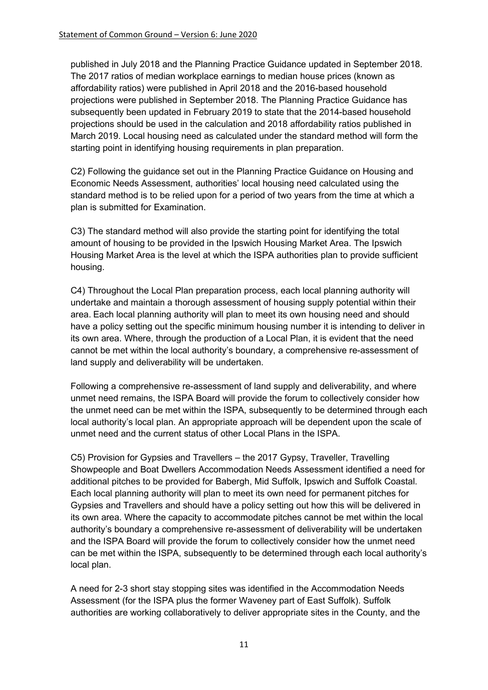published in July 2018 and the Planning Practice Guidance updated in September 2018. The 2017 ratios of median workplace earnings to median house prices (known as affordability ratios) were published in April 2018 and the 2016-based household projections were published in September 2018. The Planning Practice Guidance has subsequently been updated in February 2019 to state that the 2014-based household projections should be used in the calculation and 2018 affordability ratios published in March 2019. Local housing need as calculated under the standard method will form the starting point in identifying housing requirements in plan preparation.

C2) Following the guidance set out in the Planning Practice Guidance on Housing and Economic Needs Assessment, authorities' local housing need calculated using the standard method is to be relied upon for a period of two years from the time at which a plan is submitted for Examination.

C3) The standard method will also provide the starting point for identifying the total amount of housing to be provided in the Ipswich Housing Market Area. The Ipswich Housing Market Area is the level at which the ISPA authorities plan to provide sufficient housing.

C4) Throughout the Local Plan preparation process, each local planning authority will undertake and maintain a thorough assessment of housing supply potential within their area. Each local planning authority will plan to meet its own housing need and should have a policy setting out the specific minimum housing number it is intending to deliver in its own area. Where, through the production of a Local Plan, it is evident that the need cannot be met within the local authority's boundary, a comprehensive re-assessment of land supply and deliverability will be undertaken.

Following a comprehensive re-assessment of land supply and deliverability, and where unmet need remains, the ISPA Board will provide the forum to collectively consider how the unmet need can be met within the ISPA, subsequently to be determined through each local authority's local plan. An appropriate approach will be dependent upon the scale of unmet need and the current status of other Local Plans in the ISPA.

C5) Provision for Gypsies and Travellers – the 2017 Gypsy, Traveller, Travelling Showpeople and Boat Dwellers Accommodation Needs Assessment identified a need for additional pitches to be provided for Babergh, Mid Suffolk, Ipswich and Suffolk Coastal. Each local planning authority will plan to meet its own need for permanent pitches for Gypsies and Travellers and should have a policy setting out how this will be delivered in its own area. Where the capacity to accommodate pitches cannot be met within the local authority's boundary a comprehensive re-assessment of deliverability will be undertaken and the ISPA Board will provide the forum to collectively consider how the unmet need can be met within the ISPA, subsequently to be determined through each local authority's local plan.

A need for 2-3 short stay stopping sites was identified in the Accommodation Needs Assessment (for the ISPA plus the former Waveney part of East Suffolk). Suffolk authorities are working collaboratively to deliver appropriate sites in the County, and the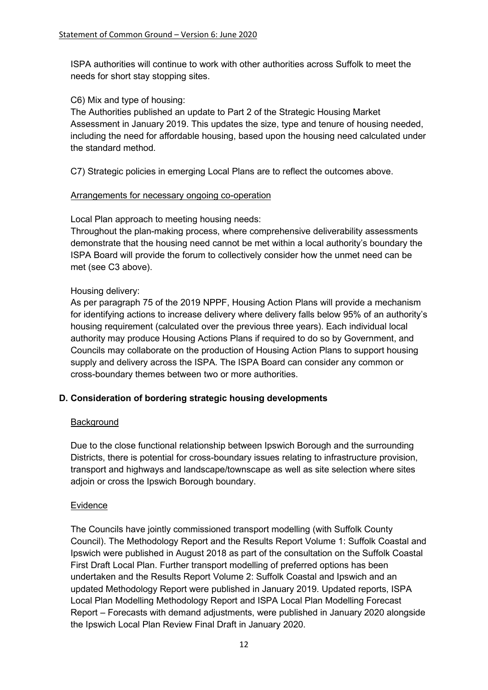ISPA authorities will continue to work with other authorities across Suffolk to meet the needs for short stay stopping sites.

C6) Mix and type of housing:

The Authorities published an update to Part 2 of the Strategic Housing Market Assessment in January 2019. This updates the size, type and tenure of housing needed, including the need for affordable housing, based upon the housing need calculated under the standard method.

C7) Strategic policies in emerging Local Plans are to reflect the outcomes above.

# Arrangements for necessary ongoing co-operation

Local Plan approach to meeting housing needs:

Throughout the plan-making process, where comprehensive deliverability assessments demonstrate that the housing need cannot be met within a local authority's boundary the ISPA Board will provide the forum to collectively consider how the unmet need can be met (see C3 above).

# Housing delivery:

As per paragraph 75 of the 2019 NPPF, Housing Action Plans will provide a mechanism for identifying actions to increase delivery where delivery falls below 95% of an authority's housing requirement (calculated over the previous three years). Each individual local authority may produce Housing Actions Plans if required to do so by Government, and Councils may collaborate on the production of Housing Action Plans to support housing supply and delivery across the ISPA. The ISPA Board can consider any common or cross-boundary themes between two or more authorities.

# **D. Consideration of bordering strategic housing developments**

# Background

Due to the close functional relationship between Ipswich Borough and the surrounding Districts, there is potential for cross-boundary issues relating to infrastructure provision, transport and highways and landscape/townscape as well as site selection where sites adjoin or cross the Ipswich Borough boundary.

# **Evidence**

The Councils have jointly commissioned transport modelling (with Suffolk County Council). The Methodology Report and the Results Report Volume 1: Suffolk Coastal and Ipswich were published in August 2018 as part of the consultation on the Suffolk Coastal First Draft Local Plan. Further transport modelling of preferred options has been undertaken and the Results Report Volume 2: Suffolk Coastal and Ipswich and an updated Methodology Report were published in January 2019. Updated reports, ISPA Local Plan Modelling Methodology Report and ISPA Local Plan Modelling Forecast Report – Forecasts with demand adjustments, were published in January 2020 alongside the Ipswich Local Plan Review Final Draft in January 2020.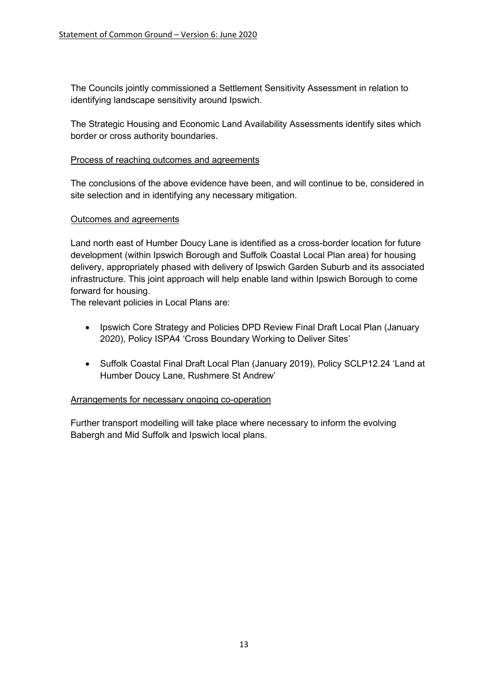The Councils jointly commissioned a Settlement Sensitivity Assessment in relation to identifying landscape sensitivity around Ipswich.

The Strategic Housing and Economic Land Availability Assessments identify sites which border or cross authority boundaries.

#### Process of reaching outcomes and agreements

The conclusions of the above evidence have been, and will continue to be, considered in site selection and in identifying any necessary mitigation.

### Outcomes and agreements

Land north east of Humber Doucy Lane is identified as a cross-border location for future development (within Ipswich Borough and Suffolk Coastal Local Plan area) for housing delivery, appropriately phased with delivery of Ipswich Garden Suburb and its associated infrastructure. This joint approach will help enable land within Ipswich Borough to come forward for housing.

The relevant policies in Local Plans are:

- Ipswich Core Strategy and Policies DPD Review Final Draft Local Plan (January 2020), Policy ISPA4 'Cross Boundary Working to Deliver Sites'
- Suffolk Coastal Final Draft Local Plan (January 2019), Policy SCLP12.24 'Land at Humber Doucy Lane, Rushmere St Andrew'

#### Arrangements for necessary ongoing co-operation

Further transport modelling will take place where necessary to inform the evolving Babergh and Mid Suffolk and Ipswich local plans.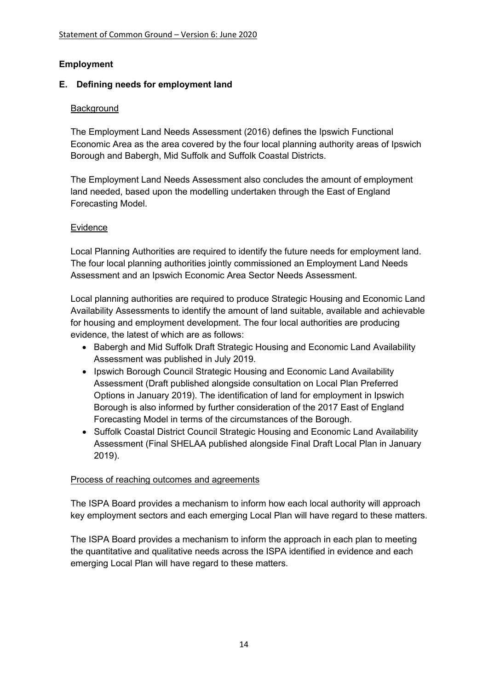# **Employment**

# **E. Defining needs for employment land**

# Background

The Employment Land Needs Assessment (2016) defines the Ipswich Functional Economic Area as the area covered by the four local planning authority areas of Ipswich Borough and Babergh, Mid Suffolk and Suffolk Coastal Districts.

The Employment Land Needs Assessment also concludes the amount of employment land needed, based upon the modelling undertaken through the East of England Forecasting Model.

# Evidence

Local Planning Authorities are required to identify the future needs for employment land. The four local planning authorities jointly commissioned an Employment Land Needs Assessment and an Ipswich Economic Area Sector Needs Assessment.

Local planning authorities are required to produce Strategic Housing and Economic Land Availability Assessments to identify the amount of land suitable, available and achievable for housing and employment development. The four local authorities are producing evidence, the latest of which are as follows:

- Babergh and Mid Suffolk Draft Strategic Housing and Economic Land Availability Assessment was published in July 2019.
- Ipswich Borough Council Strategic Housing and Economic Land Availability Assessment (Draft published alongside consultation on Local Plan Preferred Options in January 2019). The identification of land for employment in Ipswich Borough is also informed by further consideration of the 2017 East of England Forecasting Model in terms of the circumstances of the Borough.
- Suffolk Coastal District Council Strategic Housing and Economic Land Availability Assessment (Final SHELAA published alongside Final Draft Local Plan in January 2019).

# Process of reaching outcomes and agreements

The ISPA Board provides a mechanism to inform how each local authority will approach key employment sectors and each emerging Local Plan will have regard to these matters.

The ISPA Board provides a mechanism to inform the approach in each plan to meeting the quantitative and qualitative needs across the ISPA identified in evidence and each emerging Local Plan will have regard to these matters.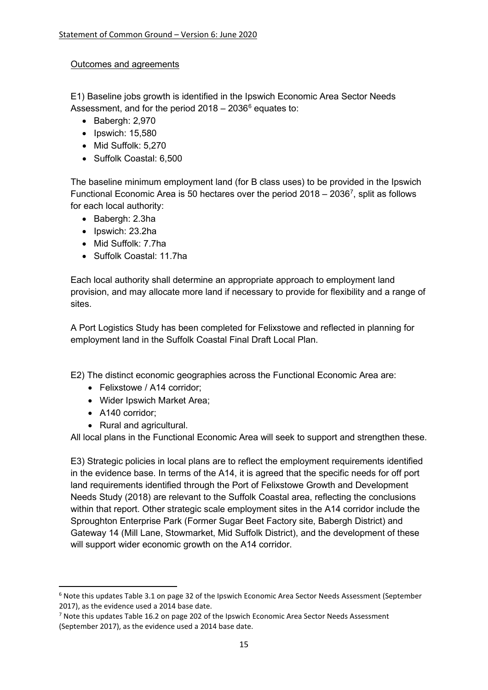### Outcomes and agreements

E1) Baseline jobs growth is identified in the Ipswich Economic Area Sector Needs Assessment, and for the period  $2018 - 2036^6$  $2018 - 2036^6$  $2018 - 2036^6$  equates to:

- Babergh: 2,970
- Ipswich: 15,580
- Mid Suffolk: 5,270
- Suffolk Coastal: 6,500

The baseline minimum employment land (for B class uses) to be provided in the Ipswich Functional Economic Area is 50 hectares over the period  $2018 - 2036^7$ , split as follows for each local authority:

- Babergh: 2.3ha
- Ipswich: 23.2ha
- Mid Suffolk: 7.7ha
- Suffolk Coastal: 11.7ha

Each local authority shall determine an appropriate approach to employment land provision, and may allocate more land if necessary to provide for flexibility and a range of sites.

A Port Logistics Study has been completed for Felixstowe and reflected in planning for employment land in the Suffolk Coastal Final Draft Local Plan.

E2) The distinct economic geographies across the Functional Economic Area are:

- Felixstowe / A14 corridor:
- Wider Ipswich Market Area;
- A140 corridor;
- Rural and agricultural.

All local plans in the Functional Economic Area will seek to support and strengthen these.

E3) Strategic policies in local plans are to reflect the employment requirements identified in the evidence base. In terms of the A14, it is agreed that the specific needs for off port land requirements identified through the Port of Felixstowe Growth and Development Needs Study (2018) are relevant to the Suffolk Coastal area, reflecting the conclusions within that report. Other strategic scale employment sites in the A14 corridor include the Sproughton Enterprise Park (Former Sugar Beet Factory site, Babergh District) and Gateway 14 (Mill Lane, Stowmarket, Mid Suffolk District), and the development of these will support wider economic growth on the A14 corridor.

<span id="page-14-0"></span><sup>6</sup> Note this updates Table 3.1 on page 32 of the Ipswich Economic Area Sector Needs Assessment (September 2017), as the evidence used a 2014 base date.

<span id="page-14-1"></span> $7$  Note this updates Table 16.2 on page 202 of the Ipswich Economic Area Sector Needs Assessment (September 2017), as the evidence used a 2014 base date.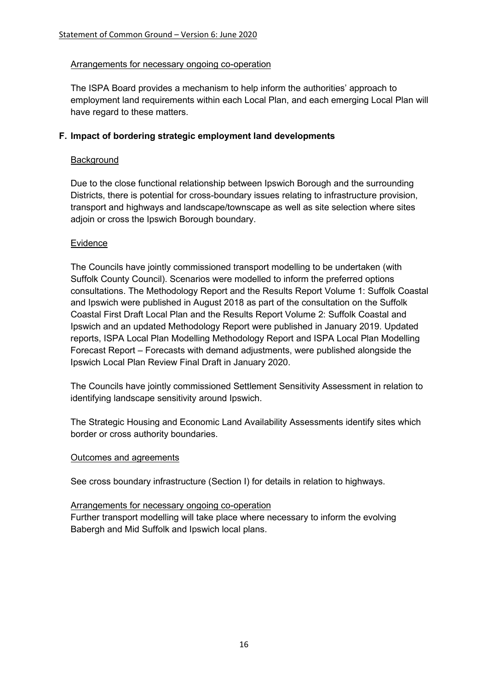#### Arrangements for necessary ongoing co-operation

The ISPA Board provides a mechanism to help inform the authorities' approach to employment land requirements within each Local Plan, and each emerging Local Plan will have regard to these matters.

### **F. Impact of bordering strategic employment land developments**

### **Background**

Due to the close functional relationship between Ipswich Borough and the surrounding Districts, there is potential for cross-boundary issues relating to infrastructure provision, transport and highways and landscape/townscape as well as site selection where sites adjoin or cross the Ipswich Borough boundary.

### **Evidence**

The Councils have jointly commissioned transport modelling to be undertaken (with Suffolk County Council). Scenarios were modelled to inform the preferred options consultations. The Methodology Report and the Results Report Volume 1: Suffolk Coastal and Ipswich were published in August 2018 as part of the consultation on the Suffolk Coastal First Draft Local Plan and the Results Report Volume 2: Suffolk Coastal and Ipswich and an updated Methodology Report were published in January 2019. Updated reports, ISPA Local Plan Modelling Methodology Report and ISPA Local Plan Modelling Forecast Report – Forecasts with demand adjustments, were published alongside the Ipswich Local Plan Review Final Draft in January 2020.

The Councils have jointly commissioned Settlement Sensitivity Assessment in relation to identifying landscape sensitivity around Ipswich.

The Strategic Housing and Economic Land Availability Assessments identify sites which border or cross authority boundaries.

#### Outcomes and agreements

See cross boundary infrastructure (Section I) for details in relation to highways.

#### Arrangements for necessary ongoing co-operation

Further transport modelling will take place where necessary to inform the evolving Babergh and Mid Suffolk and Ipswich local plans.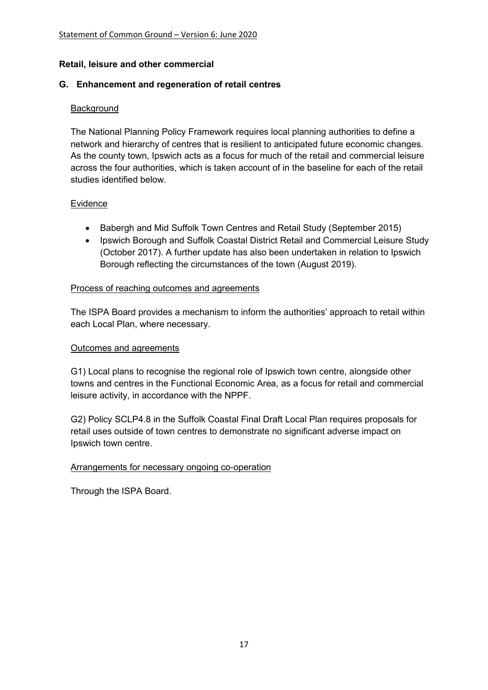### **Retail, leisure and other commercial**

### **G. Enhancement and regeneration of retail centres**

### Background

The National Planning Policy Framework requires local planning authorities to define a network and hierarchy of centres that is resilient to anticipated future economic changes. As the county town, Ipswich acts as a focus for much of the retail and commercial leisure across the four authorities, which is taken account of in the baseline for each of the retail studies identified below.

#### Evidence

- Babergh and Mid Suffolk Town Centres and Retail Study (September 2015)
- Ipswich Borough and Suffolk Coastal District Retail and Commercial Leisure Study (October 2017). A further update has also been undertaken in relation to Ipswich Borough reflecting the circumstances of the town (August 2019).

#### Process of reaching outcomes and agreements

The ISPA Board provides a mechanism to inform the authorities' approach to retail within each Local Plan, where necessary.

#### Outcomes and agreements

G1) Local plans to recognise the regional role of Ipswich town centre, alongside other towns and centres in the Functional Economic Area, as a focus for retail and commercial leisure activity, in accordance with the NPPF.

G2) Policy SCLP4.8 in the Suffolk Coastal Final Draft Local Plan requires proposals for retail uses outside of town centres to demonstrate no significant adverse impact on Ipswich town centre.

# Arrangements for necessary ongoing co-operation

Through the ISPA Board.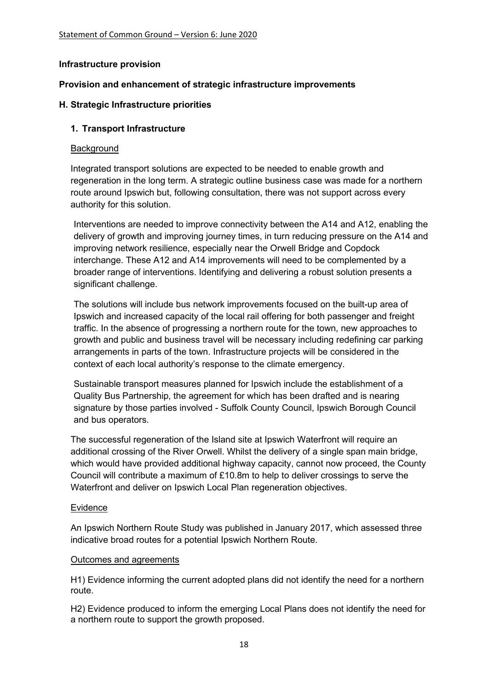### **Infrastructure provision**

### **Provision and enhancement of strategic infrastructure improvements**

### **H. Strategic Infrastructure priorities**

### **1. Transport Infrastructure**

#### **Background**

Integrated transport solutions are expected to be needed to enable growth and regeneration in the long term. A strategic outline business case was made for a northern route around Ipswich but, following consultation, there was not support across every authority for this solution.

Interventions are needed to improve connectivity between the A14 and A12, enabling the delivery of growth and improving journey times, in turn reducing pressure on the A14 and improving network resilience, especially near the Orwell Bridge and Copdock interchange. These A12 and A14 improvements will need to be complemented by a broader range of interventions. Identifying and delivering a robust solution presents a significant challenge.

The solutions will include bus network improvements focused on the built-up area of Ipswich and increased capacity of the local rail offering for both passenger and freight traffic. In the absence of progressing a northern route for the town, new approaches to growth and public and business travel will be necessary including redefining car parking arrangements in parts of the town. Infrastructure projects will be considered in the context of each local authority's response to the climate emergency.

Sustainable transport measures planned for Ipswich include the establishment of a Quality Bus Partnership, the agreement for which has been drafted and is nearing signature by those parties involved - Suffolk County Council, Ipswich Borough Council and bus operators.

The successful regeneration of the Island site at Ipswich Waterfront will require an additional crossing of the River Orwell. Whilst the delivery of a single span main bridge, which would have provided additional highway capacity, cannot now proceed, the County Council will contribute a maximum of £10.8m to help to deliver crossings to serve the Waterfront and deliver on Ipswich Local Plan regeneration objectives.

#### Evidence

An Ipswich Northern Route Study was published in January 2017, which assessed three indicative broad routes for a potential Ipswich Northern Route.

#### Outcomes and agreements

H1) Evidence informing the current adopted plans did not identify the need for a northern route.

H2) Evidence produced to inform the emerging Local Plans does not identify the need for a northern route to support the growth proposed.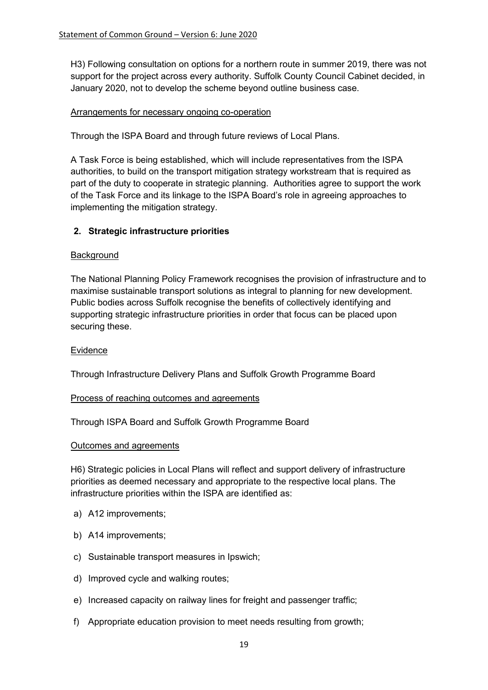H3) Following consultation on options for a northern route in summer 2019, there was not support for the project across every authority. Suffolk County Council Cabinet decided, in January 2020, not to develop the scheme beyond outline business case.

### Arrangements for necessary ongoing co-operation

Through the ISPA Board and through future reviews of Local Plans.

A Task Force is being established, which will include representatives from the ISPA authorities, to build on the transport mitigation strategy workstream that is required as part of the duty to cooperate in strategic planning. Authorities agree to support the work of the Task Force and its linkage to the ISPA Board's role in agreeing approaches to implementing the mitigation strategy.

# **2. Strategic infrastructure priorities**

#### **Background**

The National Planning Policy Framework recognises the provision of infrastructure and to maximise sustainable transport solutions as integral to planning for new development. Public bodies across Suffolk recognise the benefits of collectively identifying and supporting strategic infrastructure priorities in order that focus can be placed upon securing these.

#### Evidence

Through Infrastructure Delivery Plans and Suffolk Growth Programme Board

#### Process of reaching outcomes and agreements

Through ISPA Board and Suffolk Growth Programme Board

#### Outcomes and agreements

H6) Strategic policies in Local Plans will reflect and support delivery of infrastructure priorities as deemed necessary and appropriate to the respective local plans. The infrastructure priorities within the ISPA are identified as:

- a) A12 improvements;
- b) A14 improvements;
- c) Sustainable transport measures in Ipswich;
- d) Improved cycle and walking routes;
- e) Increased capacity on railway lines for freight and passenger traffic;
- f) Appropriate education provision to meet needs resulting from growth;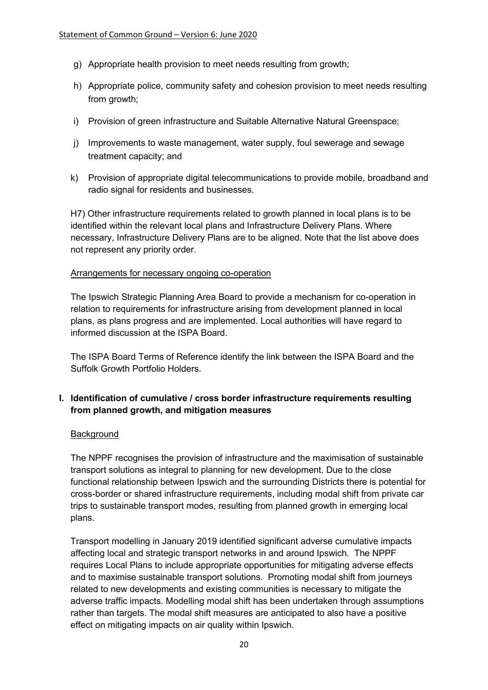- g) Appropriate health provision to meet needs resulting from growth;
- h) Appropriate police, community safety and cohesion provision to meet needs resulting from growth;
- i) Provision of green infrastructure and Suitable Alternative Natural Greenspace;
- j) Improvements to waste management, water supply, foul sewerage and sewage treatment capacity; and
- k) Provision of appropriate digital telecommunications to provide mobile, broadband and radio signal for residents and businesses.

H7) Other infrastructure requirements related to growth planned in local plans is to be identified within the relevant local plans and Infrastructure Delivery Plans. Where necessary, Infrastructure Delivery Plans are to be aligned. Note that the list above does not represent any priority order.

### Arrangements for necessary ongoing co-operation

The Ipswich Strategic Planning Area Board to provide a mechanism for co-operation in relation to requirements for infrastructure arising from development planned in local plans, as plans progress and are implemented. Local authorities will have regard to informed discussion at the ISPA Board.

The ISPA Board Terms of Reference identify the link between the ISPA Board and the Suffolk Growth Portfolio Holders.

# **I. Identification of cumulative / cross border infrastructure requirements resulting from planned growth, and mitigation measures**

# **Background**

The NPPF recognises the provision of infrastructure and the maximisation of sustainable transport solutions as integral to planning for new development. Due to the close functional relationship between Ipswich and the surrounding Districts there is potential for cross-border or shared infrastructure requirements, including modal shift from private car trips to sustainable transport modes, resulting from planned growth in emerging local plans.

Transport modelling in January 2019 identified significant adverse cumulative impacts affecting local and strategic transport networks in and around Ipswich. The NPPF requires Local Plans to include appropriate opportunities for mitigating adverse effects and to maximise sustainable transport solutions. Promoting modal shift from journeys related to new developments and existing communities is necessary to mitigate the adverse traffic impacts. Modelling modal shift has been undertaken through assumptions rather than targets. The modal shift measures are anticipated to also have a positive effect on mitigating impacts on air quality within Ipswich.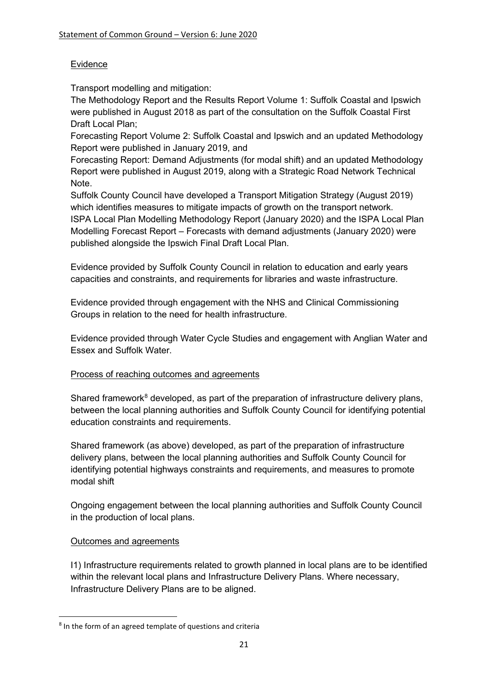# Evidence

Transport modelling and mitigation:

The Methodology Report and the Results Report Volume 1: Suffolk Coastal and Ipswich were published in August 2018 as part of the consultation on the Suffolk Coastal First Draft Local Plan;

Forecasting Report Volume 2: Suffolk Coastal and Ipswich and an updated Methodology Report were published in January 2019, and

Forecasting Report: Demand Adjustments (for modal shift) and an updated Methodology Report were published in August 2019, along with a Strategic Road Network Technical Note.

Suffolk County Council have developed a Transport Mitigation Strategy (August 2019) which identifies measures to mitigate impacts of growth on the transport network. ISPA Local Plan Modelling Methodology Report (January 2020) and the ISPA Local Plan Modelling Forecast Report – Forecasts with demand adjustments (January 2020) were published alongside the Ipswich Final Draft Local Plan.

Evidence provided by Suffolk County Council in relation to education and early years capacities and constraints, and requirements for libraries and waste infrastructure.

Evidence provided through engagement with the NHS and Clinical Commissioning Groups in relation to the need for health infrastructure.

Evidence provided through Water Cycle Studies and engagement with Anglian Water and Essex and Suffolk Water.

# Process of reaching outcomes and agreements

Shared framework<sup>[8](#page-20-0)</sup> developed, as part of the preparation of infrastructure delivery plans, between the local planning authorities and Suffolk County Council for identifying potential education constraints and requirements.

Shared framework (as above) developed, as part of the preparation of infrastructure delivery plans, between the local planning authorities and Suffolk County Council for identifying potential highways constraints and requirements, and measures to promote modal shift

Ongoing engagement between the local planning authorities and Suffolk County Council in the production of local plans.

# Outcomes and agreements

I1) Infrastructure requirements related to growth planned in local plans are to be identified within the relevant local plans and Infrastructure Delivery Plans. Where necessary, Infrastructure Delivery Plans are to be aligned.

<span id="page-20-0"></span><sup>8</sup> In the form of an agreed template of questions and criteria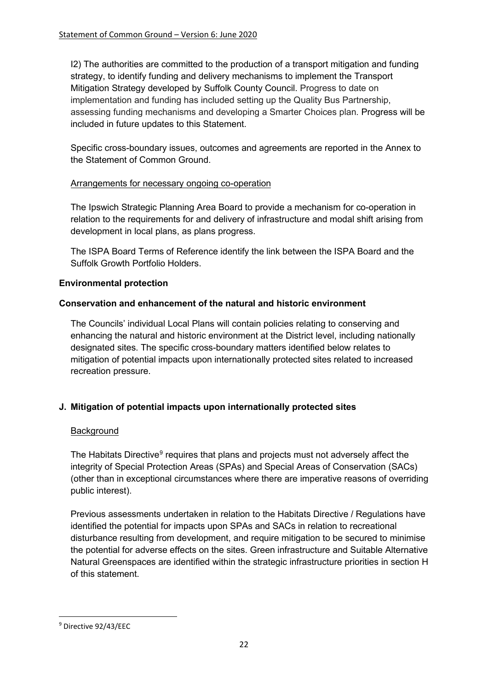I2) The authorities are committed to the production of a transport mitigation and funding strategy, to identify funding and delivery mechanisms to implement the Transport Mitigation Strategy developed by Suffolk County Council. Progress to date on implementation and funding has included setting up the Quality Bus Partnership, assessing funding mechanisms and developing a Smarter Choices plan. Progress will be included in future updates to this Statement.

Specific cross-boundary issues, outcomes and agreements are reported in the Annex to the Statement of Common Ground.

# Arrangements for necessary ongoing co-operation

The Ipswich Strategic Planning Area Board to provide a mechanism for co-operation in relation to the requirements for and delivery of infrastructure and modal shift arising from development in local plans, as plans progress.

The ISPA Board Terms of Reference identify the link between the ISPA Board and the Suffolk Growth Portfolio Holders.

### **Environmental protection**

### **Conservation and enhancement of the natural and historic environment**

The Councils' individual Local Plans will contain policies relating to conserving and enhancing the natural and historic environment at the District level, including nationally designated sites. The specific cross-boundary matters identified below relates to mitigation of potential impacts upon internationally protected sites related to increased recreation pressure.

# **J. Mitigation of potential impacts upon internationally protected sites**

# **Background**

The Habitats Directive<sup>[9](#page-21-0)</sup> requires that plans and projects must not adversely affect the integrity of Special Protection Areas (SPAs) and Special Areas of Conservation (SACs) (other than in exceptional circumstances where there are imperative reasons of overriding public interest).

Previous assessments undertaken in relation to the Habitats Directive / Regulations have identified the potential for impacts upon SPAs and SACs in relation to recreational disturbance resulting from development, and require mitigation to be secured to minimise the potential for adverse effects on the sites. Green infrastructure and Suitable Alternative Natural Greenspaces are identified within the strategic infrastructure priorities in section H of this statement.

<span id="page-21-0"></span><sup>9</sup> Directive 92/43/EEC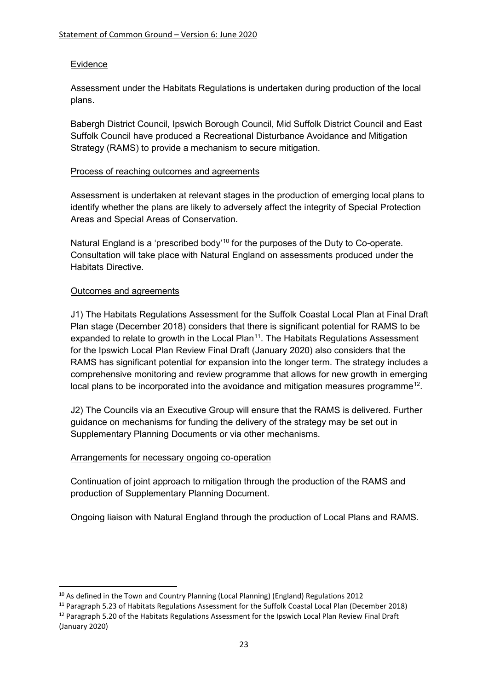# **Evidence**

Assessment under the Habitats Regulations is undertaken during production of the local plans.

Babergh District Council, Ipswich Borough Council, Mid Suffolk District Council and East Suffolk Council have produced a Recreational Disturbance Avoidance and Mitigation Strategy (RAMS) to provide a mechanism to secure mitigation.

### Process of reaching outcomes and agreements

Assessment is undertaken at relevant stages in the production of emerging local plans to identify whether the plans are likely to adversely affect the integrity of Special Protection Areas and Special Areas of Conservation.

Natural England is a 'prescribed body'<sup>[10](#page-22-0)</sup> for the purposes of the Duty to Co-operate. Consultation will take place with Natural England on assessments produced under the Habitats Directive.

# Outcomes and agreements

J1) The Habitats Regulations Assessment for the Suffolk Coastal Local Plan at Final Draft Plan stage (December 2018) considers that there is significant potential for RAMS to be expanded to relate to growth in the Local Plan<sup>[11](#page-22-1)</sup>. The Habitats Regulations Assessment for the Ipswich Local Plan Review Final Draft (January 2020) also considers that the RAMS has significant potential for expansion into the longer term. The strategy includes a comprehensive monitoring and review programme that allows for new growth in emerging local plans to be incorporated into the avoidance and mitigation measures programme<sup>12</sup>.

J2) The Councils via an Executive Group will ensure that the RAMS is delivered. Further guidance on mechanisms for funding the delivery of the strategy may be set out in Supplementary Planning Documents or via other mechanisms.

# Arrangements for necessary ongoing co-operation

Continuation of joint approach to mitigation through the production of the RAMS and production of Supplementary Planning Document.

Ongoing liaison with Natural England through the production of Local Plans and RAMS.

<span id="page-22-0"></span><sup>&</sup>lt;sup>10</sup> As defined in the Town and Country Planning (Local Planning) (England) Regulations 2012

<span id="page-22-2"></span><span id="page-22-1"></span><sup>&</sup>lt;sup>11</sup> Paragraph 5.23 of Habitats Regulations Assessment for the Suffolk Coastal Local Plan (December 2018) <sup>12</sup> Paragraph 5.20 of the Habitats Regulations Assessment for the Ipswich Local Plan Review Final Draft (January 2020)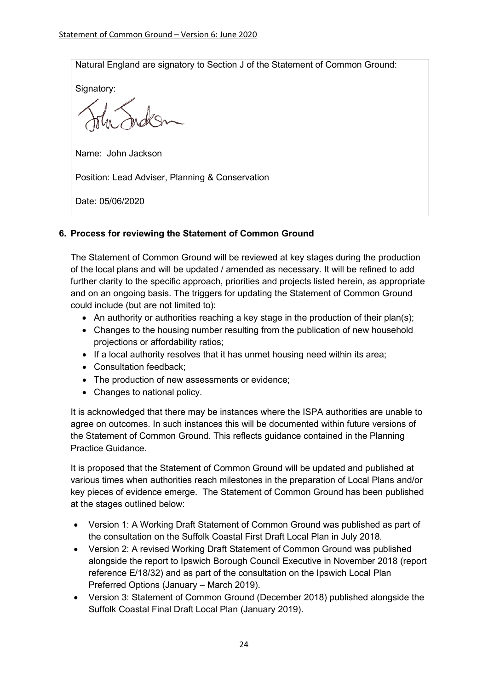Natural England are signatory to Section J of the Statement of Common Ground:

Signatory:

Name: John Jackson

Position: Lead Adviser, Planning & Conservation

Date: 05/06/2020

# **6. Process for reviewing the Statement of Common Ground**

The Statement of Common Ground will be reviewed at key stages during the production of the local plans and will be updated / amended as necessary. It will be refined to add further clarity to the specific approach, priorities and projects listed herein, as appropriate and on an ongoing basis. The triggers for updating the Statement of Common Ground could include (but are not limited to):

- An authority or authorities reaching a key stage in the production of their plan(s);
- Changes to the housing number resulting from the publication of new household projections or affordability ratios;
- If a local authority resolves that it has unmet housing need within its area;
- Consultation feedback;
- The production of new assessments or evidence;
- Changes to national policy.

It is acknowledged that there may be instances where the ISPA authorities are unable to agree on outcomes. In such instances this will be documented within future versions of the Statement of Common Ground. This reflects guidance contained in the Planning Practice Guidance.

It is proposed that the Statement of Common Ground will be updated and published at various times when authorities reach milestones in the preparation of Local Plans and/or key pieces of evidence emerge. The Statement of Common Ground has been published at the stages outlined below:

- Version 1: A Working Draft Statement of Common Ground was published as part of the consultation on the Suffolk Coastal First Draft Local Plan in July 2018.
- Version 2: A revised Working Draft Statement of Common Ground was published alongside the report to Ipswich Borough Council Executive in November 2018 (report reference E/18/32) and as part of the consultation on the Ipswich Local Plan Preferred Options (January – March 2019).
- Version 3: Statement of Common Ground (December 2018) published alongside the Suffolk Coastal Final Draft Local Plan (January 2019).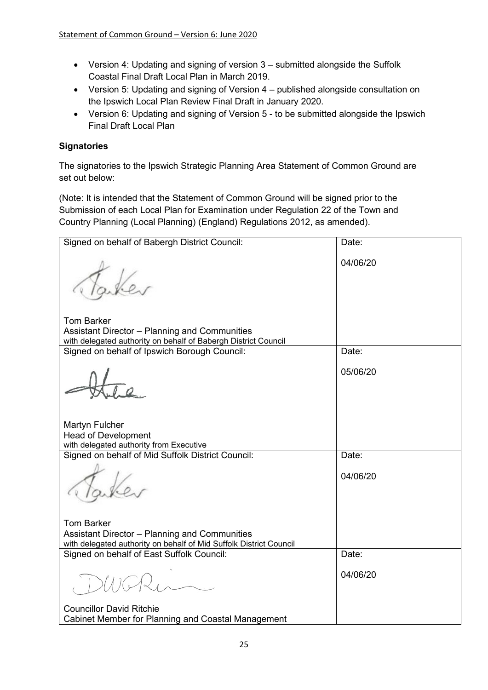- Version 4: Updating and signing of version 3 submitted alongside the Suffolk Coastal Final Draft Local Plan in March 2019.
- Version 5: Updating and signing of Version 4 published alongside consultation on the Ipswich Local Plan Review Final Draft in January 2020.
- Version 6: Updating and signing of Version 5 to be submitted alongside the Ipswich Final Draft Local Plan

# **Signatories**

The signatories to the Ipswich Strategic Planning Area Statement of Common Ground are set out below:

(Note: It is intended that the Statement of Common Ground will be signed prior to the Submission of each Local Plan for Examination under Regulation 22 of the Town and Country Planning (Local Planning) (England) Regulations 2012, as amended).

| Signed on behalf of Babergh District Council:                      | Date:    |
|--------------------------------------------------------------------|----------|
|                                                                    | 04/06/20 |
| <b>Tom Barker</b>                                                  |          |
| Assistant Director - Planning and Communities                      |          |
| with delegated authority on behalf of Babergh District Council     |          |
| Signed on behalf of Ipswich Borough Council:                       | Date:    |
|                                                                    | 05/06/20 |
| Martyn Fulcher                                                     |          |
| <b>Head of Development</b>                                         |          |
| with delegated authority from Executive                            |          |
| Signed on behalf of Mid Suffolk District Council:                  | Date:    |
|                                                                    | 04/06/20 |
| <b>Tom Barker</b>                                                  |          |
| Assistant Director - Planning and Communities                      |          |
| with delegated authority on behalf of Mid Suffolk District Council |          |
| Signed on behalf of East Suffolk Council:                          | Date:    |
|                                                                    | 04/06/20 |
| <b>Councillor David Ritchie</b>                                    |          |
| Cabinet Member for Planning and Coastal Management                 |          |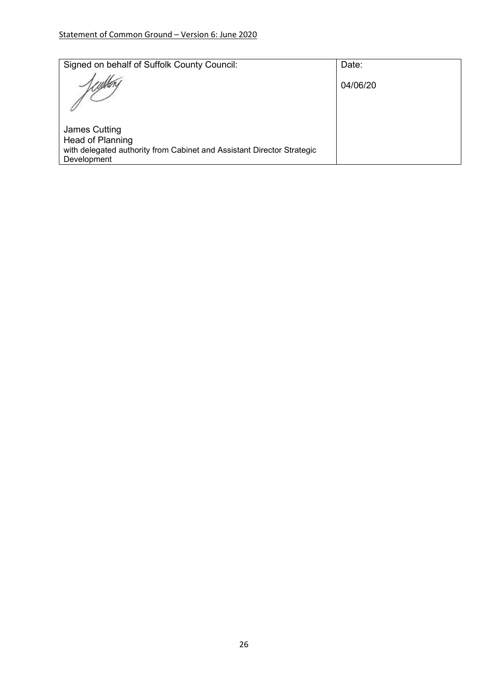| Signed on behalf of Suffolk County Council:                                                                                | Date:    |
|----------------------------------------------------------------------------------------------------------------------------|----------|
|                                                                                                                            | 04/06/20 |
| James Cutting<br>Head of Planning<br>with delegated authority from Cabinet and Assistant Director Strategic<br>Development |          |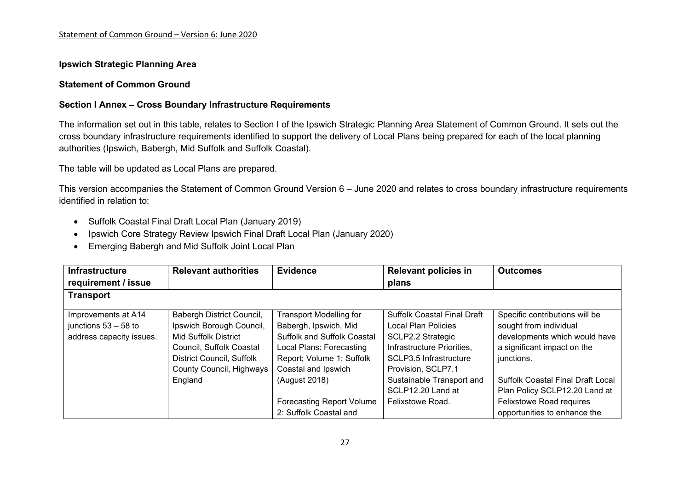#### **Ipswich Strategic Planning Area**

#### **Statement of Common Ground**

#### **Section I Annex – Cross Boundary Infrastructure Requirements**

The information set out in this table, relates to Section I of the Ipswich Strategic Planning Area Statement of Common Ground. It sets out the cross boundary infrastructure requirements identified to support the delivery of Local Plans being prepared for each of the local planning authorities (Ipswich, Babergh, Mid Suffolk and Suffolk Coastal).

The table will be updated as Local Plans are prepared.

This version accompanies the Statement of Common Ground Version 6 – June 2020 and relates to cross boundary infrastructure requirements identified in relation to:

- Suffolk Coastal Final Draft Local Plan (January 2019)
- Ipswich Core Strategy Review Ipswich Final Draft Local Plan (January 2020)
- Emerging Babergh and Mid Suffolk Joint Local Plan

| <b>Infrastructure</b>    | <b>Relevant authorities</b> | <b>Evidence</b>                    | <b>Relevant policies in</b>        | <b>Outcomes</b>                          |
|--------------------------|-----------------------------|------------------------------------|------------------------------------|------------------------------------------|
| requirement / issue      |                             |                                    | plans                              |                                          |
| <b>Transport</b>         |                             |                                    |                                    |                                          |
| Improvements at A14      | Babergh District Council,   | <b>Transport Modelling for</b>     | <b>Suffolk Coastal Final Draft</b> | Specific contributions will be           |
| junctions $53 - 58$ to   | Ipswich Borough Council,    | Babergh, Ipswich, Mid              | Local Plan Policies                | sought from individual                   |
| address capacity issues. | <b>Mid Suffolk District</b> | <b>Suffolk and Suffolk Coastal</b> | SCLP2.2 Strategic                  | developments which would have            |
|                          | Council, Suffolk Coastal    | Local Plans: Forecasting           | Infrastructure Priorities,         | a significant impact on the              |
|                          | District Council, Suffolk   | Report; Volume 1; Suffolk          | SCLP3.5 Infrastructure             | junctions.                               |
|                          | County Council, Highways    | Coastal and Ipswich                | Provision, SCLP7.1                 |                                          |
|                          | England                     | (August 2018)                      | Sustainable Transport and          | <b>Suffolk Coastal Final Draft Local</b> |
|                          |                             |                                    | SCLP12.20 Land at                  | Plan Policy SCLP12.20 Land at            |
|                          |                             | <b>Forecasting Report Volume</b>   | Felixstowe Road.                   | Felixstowe Road requires                 |
|                          |                             | 2: Suffolk Coastal and             |                                    | opportunities to enhance the             |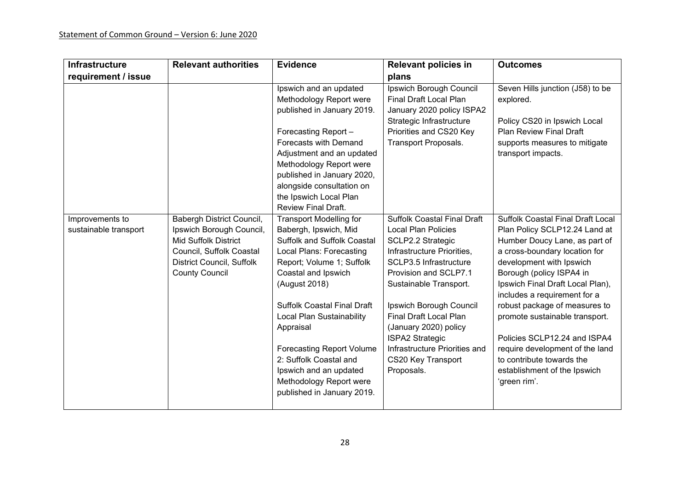| <b>Infrastructure</b>                    | <b>Relevant authorities</b>                                                                                                                                     | <b>Evidence</b>                                                                                                                                                                                                                                                                                                                                                                                                                 | <b>Relevant policies in</b>                                                                                                                                                                                                                                                                                                                                                   | <b>Outcomes</b>                                                                                                                                                                                                                                                                                                                                                                                                                                                                            |
|------------------------------------------|-----------------------------------------------------------------------------------------------------------------------------------------------------------------|---------------------------------------------------------------------------------------------------------------------------------------------------------------------------------------------------------------------------------------------------------------------------------------------------------------------------------------------------------------------------------------------------------------------------------|-------------------------------------------------------------------------------------------------------------------------------------------------------------------------------------------------------------------------------------------------------------------------------------------------------------------------------------------------------------------------------|--------------------------------------------------------------------------------------------------------------------------------------------------------------------------------------------------------------------------------------------------------------------------------------------------------------------------------------------------------------------------------------------------------------------------------------------------------------------------------------------|
| requirement / issue                      |                                                                                                                                                                 |                                                                                                                                                                                                                                                                                                                                                                                                                                 | plans                                                                                                                                                                                                                                                                                                                                                                         |                                                                                                                                                                                                                                                                                                                                                                                                                                                                                            |
|                                          |                                                                                                                                                                 | Ipswich and an updated<br>Methodology Report were<br>published in January 2019.<br>Forecasting Report-<br>Forecasts with Demand<br>Adjustment and an updated<br>Methodology Report were<br>published in January 2020,<br>alongside consultation on<br>the Ipswich Local Plan<br><b>Review Final Draft.</b>                                                                                                                      | Ipswich Borough Council<br><b>Final Draft Local Plan</b><br>January 2020 policy ISPA2<br>Strategic Infrastructure<br>Priorities and CS20 Key<br><b>Transport Proposals.</b>                                                                                                                                                                                                   | Seven Hills junction (J58) to be<br>explored.<br>Policy CS20 in Ipswich Local<br><b>Plan Review Final Draft</b><br>supports measures to mitigate<br>transport impacts.                                                                                                                                                                                                                                                                                                                     |
| Improvements to<br>sustainable transport | Babergh District Council,<br>Ipswich Borough Council,<br>Mid Suffolk District<br>Council, Suffolk Coastal<br>District Council, Suffolk<br><b>County Council</b> | <b>Transport Modelling for</b><br>Babergh, Ipswich, Mid<br>Suffolk and Suffolk Coastal<br><b>Local Plans: Forecasting</b><br>Report; Volume 1; Suffolk<br>Coastal and Ipswich<br>(August 2018)<br><b>Suffolk Coastal Final Draft</b><br>Local Plan Sustainability<br>Appraisal<br><b>Forecasting Report Volume</b><br>2: Suffolk Coastal and<br>Ipswich and an updated<br>Methodology Report were<br>published in January 2019. | <b>Suffolk Coastal Final Draft</b><br><b>Local Plan Policies</b><br>SCLP2.2 Strategic<br>Infrastructure Priorities,<br>SCLP3.5 Infrastructure<br>Provision and SCLP7.1<br>Sustainable Transport.<br>Ipswich Borough Council<br>Final Draft Local Plan<br>(January 2020) policy<br><b>ISPA2 Strategic</b><br>Infrastructure Priorities and<br>CS20 Key Transport<br>Proposals. | <b>Suffolk Coastal Final Draft Local</b><br>Plan Policy SCLP12.24 Land at<br>Humber Doucy Lane, as part of<br>a cross-boundary location for<br>development with Ipswich<br>Borough (policy ISPA4 in<br>Ipswich Final Draft Local Plan),<br>includes a requirement for a<br>robust package of measures to<br>promote sustainable transport.<br>Policies SCLP12.24 and ISPA4<br>require development of the land<br>to contribute towards the<br>establishment of the Ipswich<br>'green rim'. |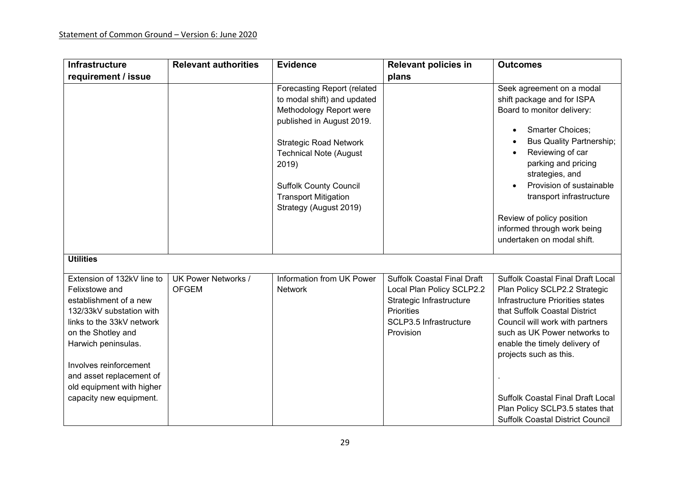| <b>Infrastructure</b>                                                                                                                                                                                                                                                                      | <b>Relevant authorities</b>                | <b>Evidence</b>                                                                                                                                                                                                                                                                         | <b>Relevant policies in</b>                                                                                                                             | <b>Outcomes</b>                                                                                                                                                                                                                                                                                                                                                                                 |
|--------------------------------------------------------------------------------------------------------------------------------------------------------------------------------------------------------------------------------------------------------------------------------------------|--------------------------------------------|-----------------------------------------------------------------------------------------------------------------------------------------------------------------------------------------------------------------------------------------------------------------------------------------|---------------------------------------------------------------------------------------------------------------------------------------------------------|-------------------------------------------------------------------------------------------------------------------------------------------------------------------------------------------------------------------------------------------------------------------------------------------------------------------------------------------------------------------------------------------------|
| requirement / issue                                                                                                                                                                                                                                                                        |                                            |                                                                                                                                                                                                                                                                                         | plans                                                                                                                                                   |                                                                                                                                                                                                                                                                                                                                                                                                 |
|                                                                                                                                                                                                                                                                                            |                                            | Forecasting Report (related<br>to modal shift) and updated<br>Methodology Report were<br>published in August 2019.<br><b>Strategic Road Network</b><br><b>Technical Note (August</b><br>2019)<br><b>Suffolk County Council</b><br><b>Transport Mitigation</b><br>Strategy (August 2019) |                                                                                                                                                         | Seek agreement on a modal<br>shift package and for ISPA<br>Board to monitor delivery:<br>Smarter Choices;<br><b>Bus Quality Partnership;</b><br>Reviewing of car<br>parking and pricing<br>strategies, and<br>Provision of sustainable<br>transport infrastructure<br>Review of policy position<br>informed through work being<br>undertaken on modal shift.                                    |
| <b>Utilities</b>                                                                                                                                                                                                                                                                           |                                            |                                                                                                                                                                                                                                                                                         |                                                                                                                                                         |                                                                                                                                                                                                                                                                                                                                                                                                 |
| Extension of 132kV line to<br>Felixstowe and<br>establishment of a new<br>132/33kV substation with<br>links to the 33kV network<br>on the Shotley and<br>Harwich peninsulas.<br>Involves reinforcement<br>and asset replacement of<br>old equipment with higher<br>capacity new equipment. | <b>UK Power Networks /</b><br><b>OFGEM</b> | Information from UK Power<br><b>Network</b>                                                                                                                                                                                                                                             | <b>Suffolk Coastal Final Draft</b><br>Local Plan Policy SCLP2.2<br>Strategic Infrastructure<br><b>Priorities</b><br>SCLP3.5 Infrastructure<br>Provision | Suffolk Coastal Final Draft Local<br>Plan Policy SCLP2.2 Strategic<br>Infrastructure Priorities states<br>that Suffolk Coastal District<br>Council will work with partners<br>such as UK Power networks to<br>enable the timely delivery of<br>projects such as this.<br><b>Suffolk Coastal Final Draft Local</b><br>Plan Policy SCLP3.5 states that<br><b>Suffolk Coastal District Council</b> |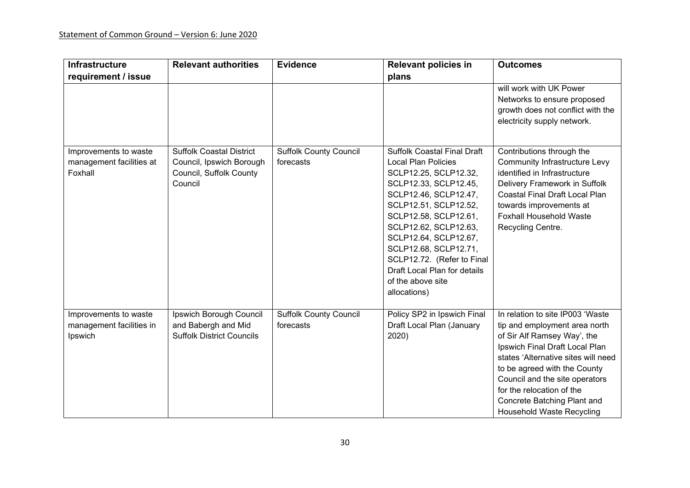| <b>Infrastructure</b>                                        | <b>Relevant authorities</b>                                                                       | <b>Evidence</b>                            | <b>Relevant policies in</b>                                                                                                                                                                                                                                                                                                                                                 | <b>Outcomes</b>                                                                                                                                                                                                                                                                                                                             |
|--------------------------------------------------------------|---------------------------------------------------------------------------------------------------|--------------------------------------------|-----------------------------------------------------------------------------------------------------------------------------------------------------------------------------------------------------------------------------------------------------------------------------------------------------------------------------------------------------------------------------|---------------------------------------------------------------------------------------------------------------------------------------------------------------------------------------------------------------------------------------------------------------------------------------------------------------------------------------------|
| requirement / issue                                          |                                                                                                   |                                            | plans                                                                                                                                                                                                                                                                                                                                                                       |                                                                                                                                                                                                                                                                                                                                             |
|                                                              |                                                                                                   |                                            |                                                                                                                                                                                                                                                                                                                                                                             | will work with UK Power<br>Networks to ensure proposed<br>growth does not conflict with the<br>electricity supply network.                                                                                                                                                                                                                  |
| Improvements to waste<br>management facilities at<br>Foxhall | <b>Suffolk Coastal District</b><br>Council, Ipswich Borough<br>Council, Suffolk County<br>Council | <b>Suffolk County Council</b><br>forecasts | <b>Suffolk Coastal Final Draft</b><br><b>Local Plan Policies</b><br>SCLP12.25, SCLP12.32,<br>SCLP12.33, SCLP12.45,<br>SCLP12.46, SCLP12.47,<br>SCLP12.51, SCLP12.52,<br>SCLP12.58, SCLP12.61,<br>SCLP12.62, SCLP12.63,<br>SCLP12.64, SCLP12.67,<br>SCLP12.68, SCLP12.71,<br>SCLP12.72. (Refer to Final<br>Draft Local Plan for details<br>of the above site<br>allocations) | Contributions through the<br><b>Community Infrastructure Levy</b><br>identified in Infrastructure<br>Delivery Framework in Suffolk<br><b>Coastal Final Draft Local Plan</b><br>towards improvements at<br><b>Foxhall Household Waste</b><br>Recycling Centre.                                                                               |
| Improvements to waste<br>management facilities in<br>Ipswich | Ipswich Borough Council<br>and Babergh and Mid<br><b>Suffolk District Councils</b>                | <b>Suffolk County Council</b><br>forecasts | Policy SP2 in Ipswich Final<br>Draft Local Plan (January<br>2020)                                                                                                                                                                                                                                                                                                           | In relation to site IP003 'Waste<br>tip and employment area north<br>of Sir Alf Ramsey Way', the<br>Ipswich Final Draft Local Plan<br>states 'Alternative sites will need<br>to be agreed with the County<br>Council and the site operators<br>for the relocation of the<br>Concrete Batching Plant and<br><b>Household Waste Recycling</b> |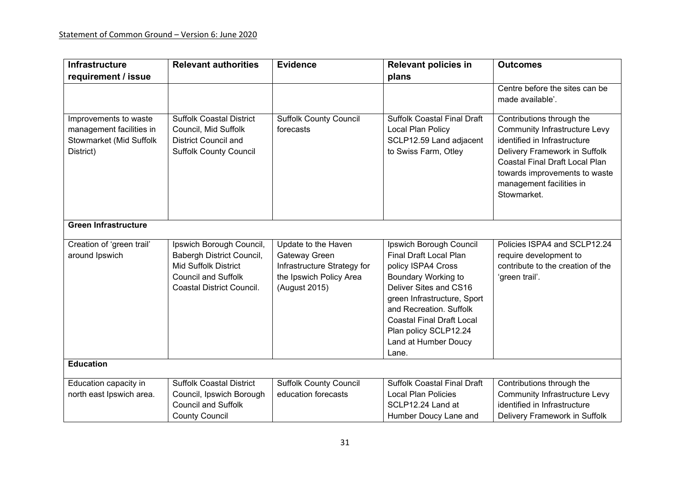| <b>Infrastructure</b>                                                                     | <b>Relevant authorities</b>                                                                                                                     | <b>Evidence</b>                                                                                                 | <b>Relevant policies in</b>                                                                                                                                                                                                                                                      | <b>Outcomes</b>                                                                                                                                                                                                                                         |
|-------------------------------------------------------------------------------------------|-------------------------------------------------------------------------------------------------------------------------------------------------|-----------------------------------------------------------------------------------------------------------------|----------------------------------------------------------------------------------------------------------------------------------------------------------------------------------------------------------------------------------------------------------------------------------|---------------------------------------------------------------------------------------------------------------------------------------------------------------------------------------------------------------------------------------------------------|
| requirement / issue                                                                       |                                                                                                                                                 |                                                                                                                 | plans                                                                                                                                                                                                                                                                            |                                                                                                                                                                                                                                                         |
|                                                                                           |                                                                                                                                                 |                                                                                                                 |                                                                                                                                                                                                                                                                                  | Centre before the sites can be<br>made available'.                                                                                                                                                                                                      |
| Improvements to waste<br>management facilities in<br>Stowmarket (Mid Suffolk<br>District) | <b>Suffolk Coastal District</b><br>Council, Mid Suffolk<br><b>District Council and</b><br><b>Suffolk County Council</b>                         | <b>Suffolk County Council</b><br>forecasts                                                                      | <b>Suffolk Coastal Final Draft</b><br>Local Plan Policy<br>SCLP12.59 Land adjacent<br>to Swiss Farm, Otley                                                                                                                                                                       | Contributions through the<br><b>Community Infrastructure Levy</b><br>identified in Infrastructure<br>Delivery Framework in Suffolk<br><b>Coastal Final Draft Local Plan</b><br>towards improvements to waste<br>management facilities in<br>Stowmarket. |
| <b>Green Infrastructure</b>                                                               |                                                                                                                                                 |                                                                                                                 |                                                                                                                                                                                                                                                                                  |                                                                                                                                                                                                                                                         |
| Creation of 'green trail'<br>around Ipswich                                               | Ipswich Borough Council,<br>Babergh District Council,<br><b>Mid Suffolk District</b><br><b>Council and Suffolk</b><br>Coastal District Council. | Update to the Haven<br>Gateway Green<br>Infrastructure Strategy for<br>the Ipswich Policy Area<br>(August 2015) | Ipswich Borough Council<br>Final Draft Local Plan<br>policy ISPA4 Cross<br>Boundary Working to<br>Deliver Sites and CS16<br>green Infrastructure, Sport<br>and Recreation. Suffolk<br><b>Coastal Final Draft Local</b><br>Plan policy SCLP12.24<br>Land at Humber Doucy<br>Lane. | Policies ISPA4 and SCLP12.24<br>require development to<br>contribute to the creation of the<br>'green trail'.                                                                                                                                           |
| <b>Education</b>                                                                          |                                                                                                                                                 |                                                                                                                 |                                                                                                                                                                                                                                                                                  |                                                                                                                                                                                                                                                         |
| Education capacity in                                                                     | <b>Suffolk Coastal District</b>                                                                                                                 | <b>Suffolk County Council</b>                                                                                   | <b>Suffolk Coastal Final Draft</b>                                                                                                                                                                                                                                               | Contributions through the                                                                                                                                                                                                                               |
| north east Ipswich area.                                                                  | Council, Ipswich Borough                                                                                                                        | education forecasts                                                                                             | <b>Local Plan Policies</b>                                                                                                                                                                                                                                                       | <b>Community Infrastructure Levy</b>                                                                                                                                                                                                                    |
|                                                                                           | <b>Council and Suffolk</b>                                                                                                                      |                                                                                                                 | SCLP12.24 Land at                                                                                                                                                                                                                                                                | identified in Infrastructure                                                                                                                                                                                                                            |
|                                                                                           | <b>County Council</b>                                                                                                                           |                                                                                                                 | Humber Doucy Lane and                                                                                                                                                                                                                                                            | Delivery Framework in Suffolk                                                                                                                                                                                                                           |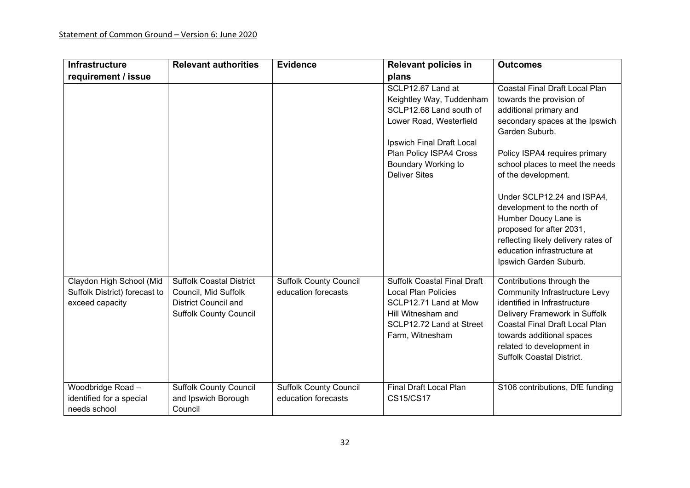| <b>Infrastructure</b>                                                        | <b>Relevant authorities</b>                                                                                             | <b>Evidence</b>                                      | <b>Relevant policies in</b>                                                                                                                                                                                       | <b>Outcomes</b>                                                                                                                                                                                                                                                                                                                                                                                                                                              |
|------------------------------------------------------------------------------|-------------------------------------------------------------------------------------------------------------------------|------------------------------------------------------|-------------------------------------------------------------------------------------------------------------------------------------------------------------------------------------------------------------------|--------------------------------------------------------------------------------------------------------------------------------------------------------------------------------------------------------------------------------------------------------------------------------------------------------------------------------------------------------------------------------------------------------------------------------------------------------------|
| requirement / issue                                                          |                                                                                                                         |                                                      | plans                                                                                                                                                                                                             |                                                                                                                                                                                                                                                                                                                                                                                                                                                              |
|                                                                              |                                                                                                                         |                                                      | SCLP12.67 Land at<br>Keightley Way, Tuddenham<br>SCLP12.68 Land south of<br>Lower Road, Westerfield<br>Ipswich Final Draft Local<br>Plan Policy ISPA4 Cross<br><b>Boundary Working to</b><br><b>Deliver Sites</b> | <b>Coastal Final Draft Local Plan</b><br>towards the provision of<br>additional primary and<br>secondary spaces at the Ipswich<br>Garden Suburb.<br>Policy ISPA4 requires primary<br>school places to meet the needs<br>of the development.<br>Under SCLP12.24 and ISPA4,<br>development to the north of<br>Humber Doucy Lane is<br>proposed for after 2031,<br>reflecting likely delivery rates of<br>education infrastructure at<br>Ipswich Garden Suburb. |
| Claydon High School (Mid<br>Suffolk District) forecast to<br>exceed capacity | <b>Suffolk Coastal District</b><br>Council, Mid Suffolk<br><b>District Council and</b><br><b>Suffolk County Council</b> | <b>Suffolk County Council</b><br>education forecasts | <b>Suffolk Coastal Final Draft</b><br><b>Local Plan Policies</b><br>SCLP12.71 Land at Mow<br>Hill Witnesham and<br>SCLP12.72 Land at Street<br>Farm, Witnesham                                                    | Contributions through the<br><b>Community Infrastructure Levy</b><br>identified in Infrastructure<br>Delivery Framework in Suffolk<br><b>Coastal Final Draft Local Plan</b><br>towards additional spaces<br>related to development in<br><b>Suffolk Coastal District.</b>                                                                                                                                                                                    |
| Woodbridge Road -<br>identified for a special<br>needs school                | <b>Suffolk County Council</b><br>and Ipswich Borough<br>Council                                                         | <b>Suffolk County Council</b><br>education forecasts | <b>Final Draft Local Plan</b><br><b>CS15/CS17</b>                                                                                                                                                                 | S106 contributions, DfE funding                                                                                                                                                                                                                                                                                                                                                                                                                              |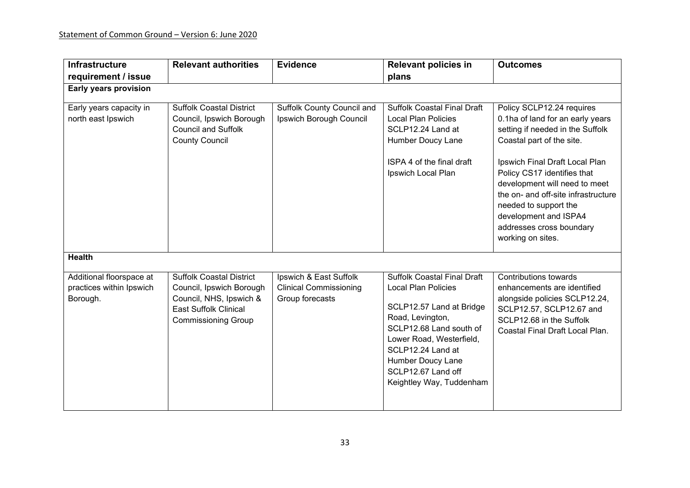| <b>Infrastructure</b>                                            | <b>Relevant authorities</b>                                                                                                                          | <b>Evidence</b>                                                            | <b>Relevant policies in</b>                                                                                                                                                                                                                                         | <b>Outcomes</b>                                                                                                                                                                                                                                                                                                                                                            |
|------------------------------------------------------------------|------------------------------------------------------------------------------------------------------------------------------------------------------|----------------------------------------------------------------------------|---------------------------------------------------------------------------------------------------------------------------------------------------------------------------------------------------------------------------------------------------------------------|----------------------------------------------------------------------------------------------------------------------------------------------------------------------------------------------------------------------------------------------------------------------------------------------------------------------------------------------------------------------------|
| requirement / issue                                              |                                                                                                                                                      |                                                                            | plans                                                                                                                                                                                                                                                               |                                                                                                                                                                                                                                                                                                                                                                            |
| <b>Early years provision</b>                                     |                                                                                                                                                      |                                                                            |                                                                                                                                                                                                                                                                     |                                                                                                                                                                                                                                                                                                                                                                            |
| Early years capacity in<br>north east Ipswich                    | <b>Suffolk Coastal District</b><br>Council, Ipswich Borough<br><b>Council and Suffolk</b><br><b>County Council</b>                                   | Suffolk County Council and<br>Ipswich Borough Council                      | <b>Suffolk Coastal Final Draft</b><br><b>Local Plan Policies</b><br>SCLP12.24 Land at<br>Humber Doucy Lane<br>ISPA 4 of the final draft<br>Ipswich Local Plan                                                                                                       | Policy SCLP12.24 requires<br>0.1ha of land for an early years<br>setting if needed in the Suffolk<br>Coastal part of the site.<br>Ipswich Final Draft Local Plan<br>Policy CS17 identifies that<br>development will need to meet<br>the on- and off-site infrastructure<br>needed to support the<br>development and ISPA4<br>addresses cross boundary<br>working on sites. |
| <b>Health</b>                                                    |                                                                                                                                                      |                                                                            |                                                                                                                                                                                                                                                                     |                                                                                                                                                                                                                                                                                                                                                                            |
| Additional floorspace at<br>practices within Ipswich<br>Borough. | <b>Suffolk Coastal District</b><br>Council, Ipswich Borough<br>Council, NHS, Ipswich &<br><b>East Suffolk Clinical</b><br><b>Commissioning Group</b> | Ipswich & East Suffolk<br><b>Clinical Commissioning</b><br>Group forecasts | <b>Suffolk Coastal Final Draft</b><br><b>Local Plan Policies</b><br>SCLP12.57 Land at Bridge<br>Road, Levington,<br>SCLP12.68 Land south of<br>Lower Road, Westerfield,<br>SCLP12.24 Land at<br>Humber Doucy Lane<br>SCLP12.67 Land off<br>Keightley Way, Tuddenham | <b>Contributions towards</b><br>enhancements are identified<br>alongside policies SCLP12.24,<br>SCLP12.57, SCLP12.67 and<br>SCLP12.68 in the Suffolk<br>Coastal Final Draft Local Plan.                                                                                                                                                                                    |